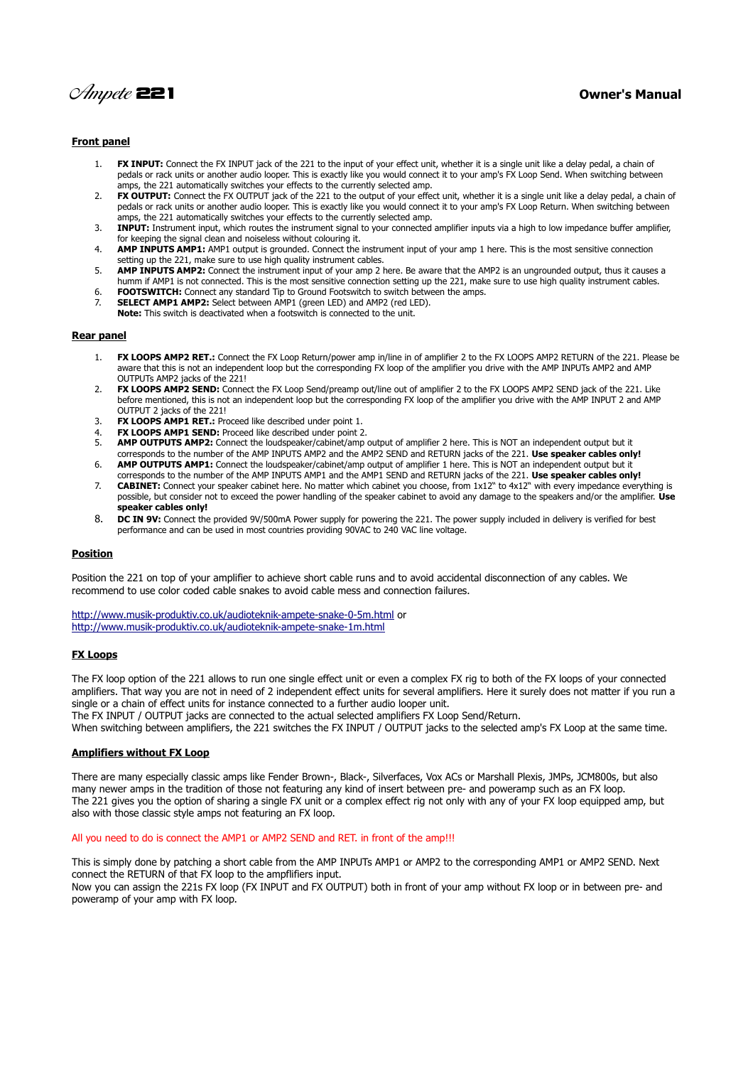

# **Front panel**

- 1. **FX INPUT:** Connect the FX INPUT jack of the 221 to the input of your effect unit, whether it is a single unit like a delay pedal, a chain of pedals or rack units or another audio looper. This is exactly like you would connect it to your amp's FX Loop Send. When switching between amps, the 221 automatically switches your effects to the currently selected amp.
- 2. **FX OUTPUT:** Connect the FX OUTPUT jack of the 221 to the output of your effect unit, whether it is a single unit like a delay pedal, a chain of pedals or rack units or another audio looper. This is exactly like you would connect it to your amp's FX Loop Return. When switching between amps, the 221 automatically switches your effects to the currently selected amp.
- 3. **INPUT:** Instrument input, which routes the instrument signal to your connected amplifier inputs via a high to low impedance buffer amplifier, for keeping the signal clean and noiseless without colouring it.
- 4. **AMP INPUTS AMP1:** AMP1 output is grounded. Connect the instrument input of your amp 1 here. This is the most sensitive connection setting up the 221, make sure to use high quality instrument cables.
- 5. **AMP INPUTS AMP2:** Connect the instrument input of your amp 2 here. Be aware that the AMP2 is an ungrounded output, thus it causes a humm if AMP1 is not connected. This is the most sensitive connection setting up the 221, make sure to use high quality instrument cables.
- 6. **FOOTSWITCH:** Connect any standard Tip to Ground Footswitch to switch between the amps.
- 7. **SELECT AMP1 AMP2:** Select between AMP1 (green LED) and AMP2 (red LED). **Note:** This switch is deactivated when a footswitch is connected to the unit.

#### **Rear panel**

- 1. **FX LOOPS AMP2 RET.:** Connect the FX Loop Return/power amp in/line in of amplifier 2 to the FX LOOPS AMP2 RETURN of the 221. Please be aware that this is not an independent loop but the corresponding FX loop of the amplifier you drive with the AMP INPUTs AMP2 and AMP OUTPUTs AMP2 jacks of the 221!
- 2. **FX LOOPS AMP2 SEND:** Connect the FX Loop Send/preamp out/line out of amplifier 2 to the FX LOOPS AMP2 SEND jack of the 221. Like before mentioned, this is not an independent loop but the corresponding FX loop of the amplifier you drive with the AMP INPUT 2 and AMP OUTPUT 2 jacks of the 221!
- 3. **FX LOOPS AMP1 RET.:** Proceed like described under point 1.
- 4. **FX LOOPS AMP1 SEND:** Proceed like described under point 2.
- 5. **AMP OUTPUTS AMP2:** Connect the loudspeaker/cabinet/amp output of amplifier 2 here. This is NOT an independent output but it corresponds to the number of the AMP INPUTS AMP2 and the AMP2 SEND and RETURN jacks of the 221. **Use speaker cables only!**
- 6. **AMP OUTPUTS AMP1:** Connect the loudspeaker/cabinet/amp output of amplifier 1 here. This is NOT an independent output but it corresponds to the number of the AMP INPUTS AMP1 and the AMP1 SEND and RETURN jacks of the 221. **Use speaker cables only!**
- 7. **CABINET:** Connect your speaker cabinet here. No matter which cabinet you choose, from 1x12" to 4x12" with every impedance everything is possible, but consider not to exceed the power handling of the speaker cabinet to avoid any damage to the speakers and/or the amplifier. **Use speaker cables only!**
- 8. **DC IN 9V:** Connect the provided 9V/500mA Power supply for powering the 221. The power supply included in delivery is verified for best performance and can be used in most countries providing 90VAC to 240 VAC line voltage.

### **Position**

Position the 221 on top of your amplifier to achieve short cable runs and to avoid accidental disconnection of any cables. We recommend to use color coded cable snakes to avoid cable mess and connection failures.

<http://www.musik-produktiv.co.uk/audioteknik-ampete-snake-0-5m.html>or <http://www.musik-produktiv.co.uk/audioteknik-ampete-snake-1m.html>

### **FX Loops**

The FX loop option of the 221 allows to run one single effect unit or even a complex FX rig to both of the FX loops of your connected amplifiers. That way you are not in need of 2 independent effect units for several amplifiers. Here it surely does not matter if you run a single or a chain of effect units for instance connected to a further audio looper unit. The FX INPUT / OUTPUT jacks are connected to the actual selected amplifiers FX Loop Send/Return.

When switching between amplifiers, the 221 switches the FX INPUT / OUTPUT jacks to the selected amp's FX Loop at the same time.

## **Amplifiers without FX Loop**

There are many especially classic amps like Fender Brown-, Black-, Silverfaces, Vox ACs or Marshall Plexis, JMPs, JCM800s, but also many newer amps in the tradition of those not featuring any kind of insert between pre- and poweramp such as an FX loop. The 221 gives you the option of sharing a single FX unit or a complex effect rig not only with any of your FX loop equipped amp, but also with those classic style amps not featuring an FX loop.

## All you need to do is connect the AMP1 or AMP2 SEND and RET. in front of the amp!!!

This is simply done by patching a short cable from the AMP INPUTs AMP1 or AMP2 to the corresponding AMP1 or AMP2 SEND. Next connect the RETURN of that FX loop to the ampflifiers input. Now you can assign the 221s FX loop (FX INPUT and FX OUTPUT) both in front of your amp without FX loop or in between pre- and poweramp of your amp with FX loop.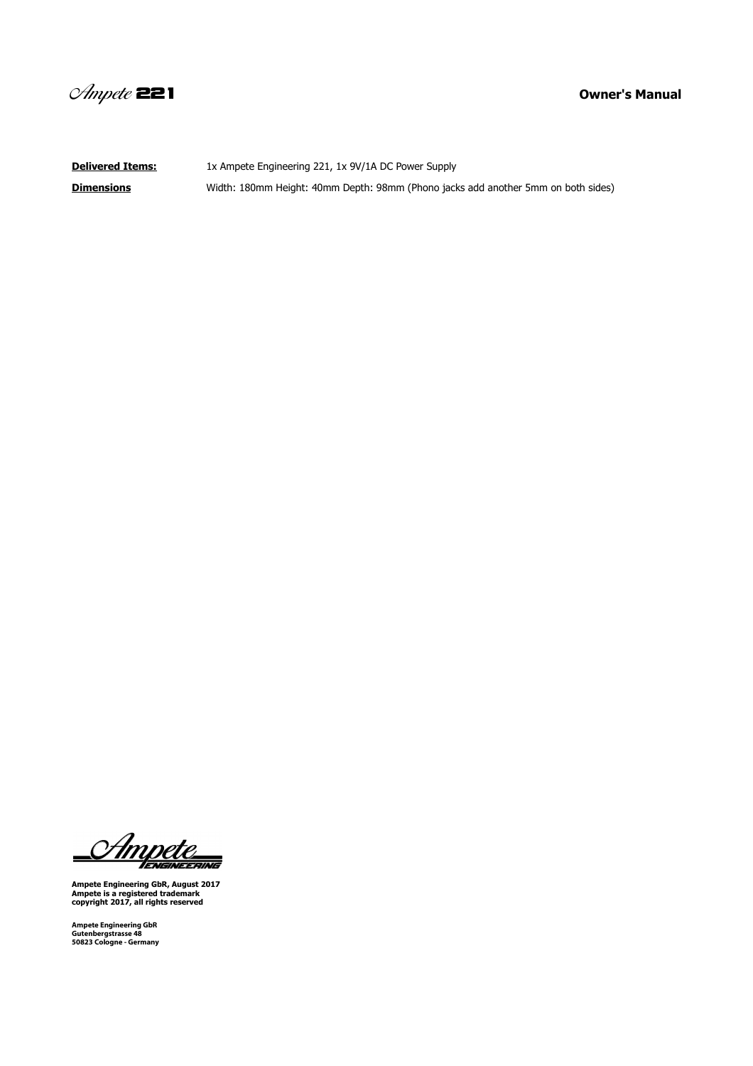

**Delivered Items:** 1x Ampete Engineering 221, 1x 9V/1A DC Power Supply **Dimensions** Width: 180mm Height: 40mm Depth: 98mm (Phono jacks add another 5mm on both sides)

<u>S Ampete</u>  $\blacksquare$ 

**Ampete Engineering GbR, August 2017 Ampete is a registered trademark copyright 2017, all rights reserved**

**Ampete Engineering GbR Gutenbergstrasse 48 50823 Cologne - Germany**